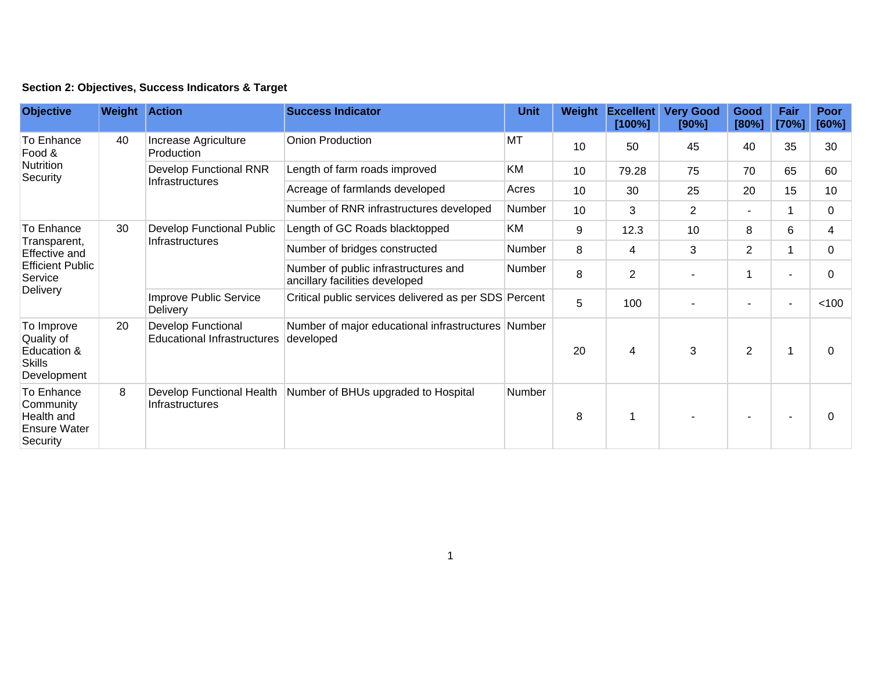| <b>Objective</b>                                                                                     | <b>Weight Action</b> |                                                          | <b>Success Indicator</b>                                               | <b>Unit</b> | Weight | <b>Excellent</b><br>[100%] | <b>Very Good</b><br>[90%] | Good<br>[80%]            | Fair<br>[70%] | <b>Poor</b><br>[60%] |
|------------------------------------------------------------------------------------------------------|----------------------|----------------------------------------------------------|------------------------------------------------------------------------|-------------|--------|----------------------------|---------------------------|--------------------------|---------------|----------------------|
| To Enhance<br>Food &<br>Nutrition<br>Security                                                        | 40                   | Increase Agriculture<br>Production                       | Onion Production                                                       | <b>MT</b>   | 10     | 50                         | 45                        | 40                       | 35            | 30                   |
|                                                                                                      |                      | <b>Develop Functional RNR</b><br>Infrastructures         | Length of farm roads improved                                          | KM          | 10     | 79.28                      | 75                        | 70                       | 65            | 60                   |
|                                                                                                      |                      |                                                          | Acreage of farmlands developed                                         | Acres       | 10     | 30                         | 25                        | 20                       | 15            | 10                   |
|                                                                                                      |                      |                                                          | Number of RNR infrastructures developed                                | Number      | 10     | 3                          | $\overline{2}$            | $\overline{\phantom{a}}$ |               | 0                    |
| To Enhance<br>Transparent,<br>Effective and<br><b>Efficient Public</b><br>Service<br><b>Delivery</b> | 30                   | Develop Functional Public<br><b>Infrastructures</b>      | Length of GC Roads blacktopped                                         | KM          | 9      | 12.3                       | 10                        | 8                        | 6             | 4                    |
|                                                                                                      |                      |                                                          | Number of bridges constructed                                          | Number      | 8      | 4                          | 3                         | $\overline{2}$           |               | 0                    |
|                                                                                                      |                      |                                                          | Number of public infrastructures and<br>ancillary facilities developed | Number      | 8      | $\overline{2}$             |                           |                          |               | 0                    |
|                                                                                                      |                      | <b>Improve Public Service</b><br>Delivery                | Critical public services delivered as per SDS Percent                  |             | 5      | 100                        |                           | $\overline{\phantom{a}}$ |               | < 100                |
| To Improve<br>Quality of<br>Education &<br><b>Skills</b><br>Development                              | 20                   | Develop Functional<br><b>Educational Infrastructures</b> | Number of major educational infrastructures Number<br>developed        |             | 20     | $\overline{4}$             | 3                         | $\overline{2}$           |               | $\mathbf{0}$         |
| To Enhance<br>Community<br>Health and<br>Ensure Water<br>Security                                    | 8                    | Develop Functional Health<br>Infrastructures             | Number of BHUs upgraded to Hospital                                    | Number      | 8      | $\mathbf 1$                |                           |                          |               | $\mathbf{0}$         |

## **Section 2: Objectives, Success Indicators & Target**